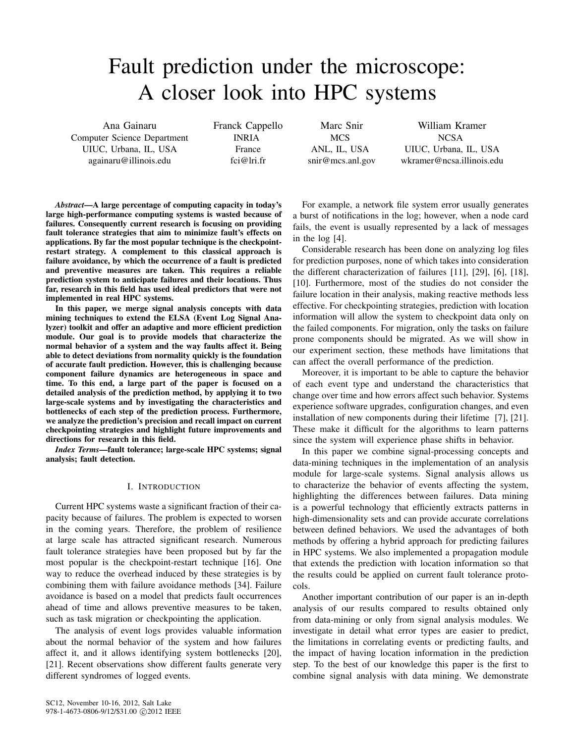# Fault prediction under the microscope: A closer look into HPC systems

Ana Gainaru Computer Science Department UIUC, Urbana, IL, USA againaru@illinois.edu

Franck Cappello INRIA France fci@lri.fr

Marc Snir **MCS** ANL, IL, USA snir@mcs.anl.gov

William Kramer NCSA UIUC, Urbana, IL, USA wkramer@ncsa.illinois.edu

*Abstract*—A large percentage of computing capacity in today's large high-performance computing systems is wasted because of failures. Consequently current research is focusing on providing fault tolerance strategies that aim to minimize fault's effects on applications. By far the most popular technique is the checkpointrestart strategy. A complement to this classical approach is failure avoidance, by which the occurrence of a fault is predicted and preventive measures are taken. This requires a reliable prediction system to anticipate failures and their locations. Thus far, research in this field has used ideal predictors that were not implemented in real HPC systems.

In this paper, we merge signal analysis concepts with data mining techniques to extend the ELSA (Event Log Signal Analyzer) toolkit and offer an adaptive and more efficient prediction module. Our goal is to provide models that characterize the normal behavior of a system and the way faults affect it. Being able to detect deviations from normality quickly is the foundation of accurate fault prediction. However, this is challenging because component failure dynamics are heterogeneous in space and time. To this end, a large part of the paper is focused on a detailed analysis of the prediction method, by applying it to two large-scale systems and by investigating the characteristics and bottlenecks of each step of the prediction process. Furthermore, we analyze the prediction's precision and recall impact on current checkpointing strategies and highlight future improvements and directions for research in this field.

*Index Terms*—fault tolerance; large-scale HPC systems; signal analysis; fault detection.

## I. INTRODUCTION

Current HPC systems waste a significant fraction of their capacity because of failures. The problem is expected to worsen in the coming years. Therefore, the problem of resilience at large scale has attracted significant research. Numerous fault tolerance strategies have been proposed but by far the most popular is the checkpoint-restart technique [16]. One way to reduce the overhead induced by these strategies is by combining them with failure avoidance methods [34]. Failure avoidance is based on a model that predicts fault occurrences ahead of time and allows preventive measures to be taken, such as task migration or checkpointing the application.

The analysis of event logs provides valuable information about the normal behavior of the system and how failures affect it, and it allows identifying system bottlenecks [20], [21]. Recent observations show different faults generate very different syndromes of logged events.

For example, a network file system error usually generates a burst of notifications in the log; however, when a node card fails, the event is usually represented by a lack of messages in the log [4].

Considerable research has been done on analyzing log files for prediction purposes, none of which takes into consideration the different characterization of failures [11], [29], [6], [18], [10]. Furthermore, most of the studies do not consider the failure location in their analysis, making reactive methods less effective. For checkpointing strategies, prediction with location information will allow the system to checkpoint data only on the failed components. For migration, only the tasks on failure prone components should be migrated. As we will show in our experiment section, these methods have limitations that can affect the overall performance of the prediction.

Moreover, it is important to be able to capture the behavior of each event type and understand the characteristics that change over time and how errors affect such behavior. Systems experience software upgrades, configuration changes, and even installation of new components during their lifetime [7], [21]. These make it difficult for the algorithms to learn patterns since the system will experience phase shifts in behavior.

In this paper we combine signal-processing concepts and data-mining techniques in the implementation of an analysis module for large-scale systems. Signal analysis allows us to characterize the behavior of events affecting the system, highlighting the differences between failures. Data mining is a powerful technology that efficiently extracts patterns in high-dimensionality sets and can provide accurate correlations between defined behaviors. We used the advantages of both methods by offering a hybrid approach for predicting failures in HPC systems. We also implemented a propagation module that extends the prediction with location information so that the results could be applied on current fault tolerance protocols.

Another important contribution of our paper is an in-depth analysis of our results compared to results obtained only from data-mining or only from signal analysis modules. We investigate in detail what error types are easier to predict, the limitations in correlating events or predicting faults, and the impact of having location information in the prediction step. To the best of our knowledge this paper is the first to combine signal analysis with data mining. We demonstrate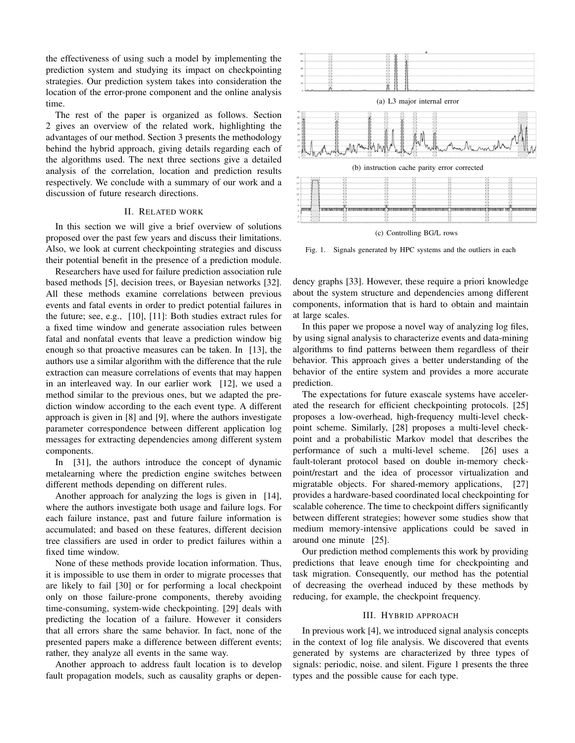the effectiveness of using such a model by implementing the prediction system and studying its impact on checkpointing strategies. Our prediction system takes into consideration the location of the error-prone component and the online analysis time.

The rest of the paper is organized as follows. Section 2 gives an overview of the related work, highlighting the advantages of our method. Section 3 presents the methodology behind the hybrid approach, giving details regarding each of the algorithms used. The next three sections give a detailed analysis of the correlation, location and prediction results respectively. We conclude with a summary of our work and a discussion of future research directions.

## II. RELATED WORK

In this section we will give a brief overview of solutions proposed over the past few years and discuss their limitations. Also, we look at current checkpointing strategies and discuss their potential benefit in the presence of a prediction module.

Researchers have used for failure prediction association rule based methods [5], decision trees, or Bayesian networks [32]. All these methods examine correlations between previous events and fatal events in order to predict potential failures in the future; see, e.g., [10], [11]: Both studies extract rules for a fixed time window and generate association rules between fatal and nonfatal events that leave a prediction window big enough so that proactive measures can be taken. In [13], the authors use a similar algorithm with the difference that the rule extraction can measure correlations of events that may happen in an interleaved way. In our earlier work [12], we used a method similar to the previous ones, but we adapted the prediction window according to the each event type. A different approach is given in [8] and [9], where the authors investigate parameter correspondence between different application log messages for extracting dependencies among different system components.

In [31], the authors introduce the concept of dynamic metalearning where the prediction engine switches between different methods depending on different rules.

Another approach for analyzing the logs is given in [14], where the authors investigate both usage and failure logs. For each failure instance, past and future failure information is accumulated; and based on these features, different decision tree classifiers are used in order to predict failures within a fixed time window.

None of these methods provide location information. Thus, it is impossible to use them in order to migrate processes that are likely to fail [30] or for performing a local checkpoint only on those failure-prone components, thereby avoiding time-consuming, system-wide checkpointing. [29] deals with predicting the location of a failure. However it considers that all errors share the same behavior. In fact, none of the presented papers make a difference between different events; rather, they analyze all events in the same way.

Another approach to address fault location is to develop fault propagation models, such as causality graphs or depen-



(a) L3 major internal error (b) instruction cache parity error corrected rannoning rannoning and the control management of the control management of the control management of the control

(c) Controlling BG/L rows

Fig. 1. Signals generated by HPC systems and the outliers in each

dency graphs [33]. However, these require a priori knowledge about the system structure and dependencies among different components, information that is hard to obtain and maintain at large scales.

In this paper we propose a novel way of analyzing log files, by using signal analysis to characterize events and data-mining algorithms to find patterns between them regardless of their behavior. This approach gives a better understanding of the behavior of the entire system and provides a more accurate prediction.

The expectations for future exascale systems have accelerated the research for efficient checkpointing protocols. [25] proposes a low-overhead, high-frequency multi-level checkpoint scheme. Similarly, [28] proposes a multi-level checkpoint and a probabilistic Markov model that describes the performance of such a multi-level scheme. [26] uses a fault-tolerant protocol based on double in-memory checkpoint/restart and the idea of processor virtualization and migratable objects. For shared-memory applications, [27] provides a hardware-based coordinated local checkpointing for scalable coherence. The time to checkpoint differs significantly between different strategies; however some studies show that medium memory-intensive applications could be saved in around one minute [25].

Our prediction method complements this work by providing predictions that leave enough time for checkpointing and task migration. Consequently, our method has the potential of decreasing the overhead induced by these methods by reducing, for example, the checkpoint frequency.

### III. HYBRID APPROACH

In previous work [4], we introduced signal analysis concepts in the context of log file analysis. We discovered that events generated by systems are characterized by three types of signals: periodic, noise. and silent. Figure 1 presents the three types and the possible cause for each type.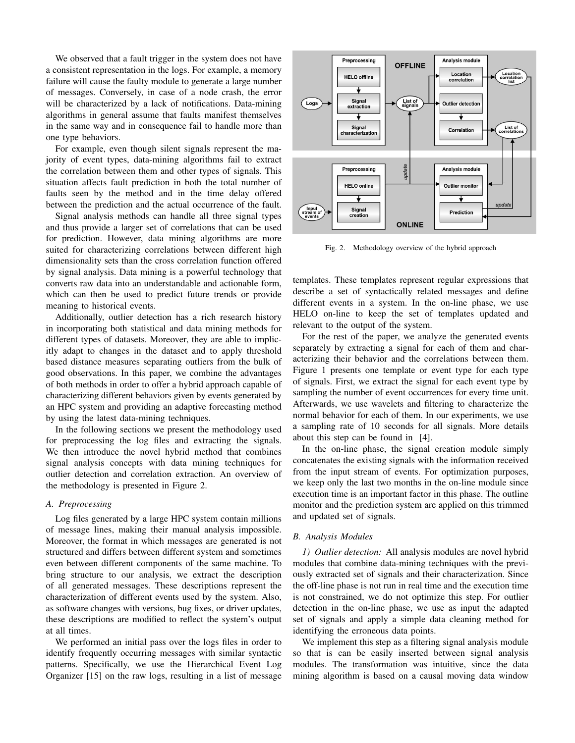We observed that a fault trigger in the system does not have a consistent representation in the logs. For example, a memory failure will cause the faulty module to generate a large number of messages. Conversely, in case of a node crash, the error will be characterized by a lack of notifications. Data-mining algorithms in general assume that faults manifest themselves in the same way and in consequence fail to handle more than one type behaviors.

For example, even though silent signals represent the majority of event types, data-mining algorithms fail to extract the correlation between them and other types of signals. This situation affects fault prediction in both the total number of faults seen by the method and in the time delay offered between the prediction and the actual occurrence of the fault.

Signal analysis methods can handle all three signal types and thus provide a larger set of correlations that can be used for prediction. However, data mining algorithms are more suited for characterizing correlations between different high dimensionality sets than the cross correlation function offered by signal analysis. Data mining is a powerful technology that converts raw data into an understandable and actionable form, which can then be used to predict future trends or provide meaning to historical events.

Additionally, outlier detection has a rich research history in incorporating both statistical and data mining methods for different types of datasets. Moreover, they are able to implicitly adapt to changes in the dataset and to apply threshold based distance measures separating outliers from the bulk of good observations. In this paper, we combine the advantages of both methods in order to offer a hybrid approach capable of characterizing different behaviors given by events generated by an HPC system and providing an adaptive forecasting method by using the latest data-mining techniques.

In the following sections we present the methodology used for preprocessing the log files and extracting the signals. We then introduce the novel hybrid method that combines signal analysis concepts with data mining techniques for outlier detection and correlation extraction. An overview of the methodology is presented in Figure 2.

## *A. Preprocessing*

Log files generated by a large HPC system contain millions of message lines, making their manual analysis impossible. Moreover, the format in which messages are generated is not structured and differs between different system and sometimes even between different components of the same machine. To bring structure to our analysis, we extract the description of all generated messages. These descriptions represent the characterization of different events used by the system. Also, as software changes with versions, bug fixes, or driver updates, these descriptions are modified to reflect the system's output at all times.

We performed an initial pass over the logs files in order to identify frequently occurring messages with similar syntactic patterns. Specifically, we use the Hierarchical Event Log Organizer [15] on the raw logs, resulting in a list of message



Fig. 2. Methodology overview of the hybrid approach

templates. These templates represent regular expressions that describe a set of syntactically related messages and define different events in a system. In the on-line phase, we use HELO on-line to keep the set of templates updated and relevant to the output of the system.

For the rest of the paper, we analyze the generated events separately by extracting a signal for each of them and characterizing their behavior and the correlations between them. Figure 1 presents one template or event type for each type of signals. First, we extract the signal for each event type by sampling the number of event occurrences for every time unit. Afterwards, we use wavelets and filtering to characterize the normal behavior for each of them. In our experiments, we use a sampling rate of 10 seconds for all signals. More details about this step can be found in [4].

In the on-line phase, the signal creation module simply concatenates the existing signals with the information received from the input stream of events. For optimization purposes, we keep only the last two months in the on-line module since execution time is an important factor in this phase. The outline monitor and the prediction system are applied on this trimmed and updated set of signals.

#### *B. Analysis Modules*

*1) Outlier detection:* All analysis modules are novel hybrid modules that combine data-mining techniques with the previously extracted set of signals and their characterization. Since the off-line phase is not run in real time and the execution time is not constrained, we do not optimize this step. For outlier detection in the on-line phase, we use as input the adapted set of signals and apply a simple data cleaning method for identifying the erroneous data points.

We implement this step as a filtering signal analysis module so that is can be easily inserted between signal analysis modules. The transformation was intuitive, since the data mining algorithm is based on a causal moving data window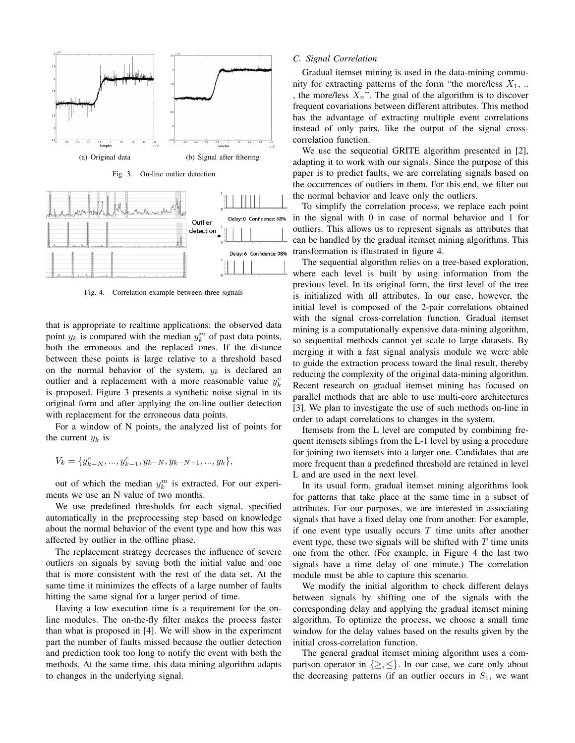

Fig. 4. Correlation example between three signals

that is appropriate to realtime applications: the observed data point  $y_k$  is compared with the median  $y_k^m$  of past data points, both the erroneous and the replaced ones. If the distance between these points is large relative to a threshold based on the normal behavior of the system,  $y_k$  is declared an outlier and a replacement with a more reasonable value  $y_k^c$ is proposed. Figure 3 presents a synthetic noise signal in its original form and after applying the on-line outlier detection with replacement for the erroneous data points.

For a window of N points, the analyzed list of points for the current  $y_k$  is

$$
V_k = \{y_{k-N}^c, ..., y_{k-1}^c, y_{k-N}, y_{k-N+1}, ..., y_k\},\
$$

out of which the median  $y_k^m$  is extracted. For our experiments we use an N value of two months.

We use predefined thresholds for each signal, specified automatically in the preprocessing step based on knowledge about the normal behavior of the event type and how this was affected by outlier in the offline phase.

The replacement strategy decreases the influence of severe outliers on signals by saving both the initial value and one that is more consistent with the rest of the data set. At the same time it minimizes the effects of a large number of faults hitting the same signal for a larger period of time.

Having a low execution time is a requirement for the online modules. The on-the-fly filter makes the process faster than what is proposed in [4]. We will show in the experiment part the number of faults missed because the outlier detection and prediction took too long to notify the event with both the methods. At the same time, this data mining algorithm adapts to changes in the underlying signal.

#### *C. Signal Correlation*

Gradual itemset mining is used in the data-mining community for extracting patterns of the form "the more/less  $X_1$ , ... , the more/less  $X_n$ ". The goal of the algorithm is to discover frequent covariations between different attributes. This method has the advantage of extracting multiple event correlations instead of only pairs, like the output of the signal crosscorrelation function.

We use the sequential GRITE algorithm presented in [2], adapting it to work with our signals. Since the purpose of this paper is to predict faults, we are correlating signals based on the occurrences of outliers in them. For this end, we filter out the normal behavior and leave only the outliers.

To simplify the correlation process, we replace each point in the signal with 0 in case of normal behavior and 1 for outliers. This allows us to represent signals as attributes that can be handled by the gradual itemset mining algorithms. This transformation is illustrated in figure 4.

The sequential algorithm relies on a tree-based exploration, where each level is built by using information from the previous level. In its original form, the first level of the tree is initialized with all attributes. In our case, however, the initial level is composed of the 2-pair correlations obtained with the signal cross-correlation function. Gradual itemset mining is a computationally expensive data-mining algorithm, so sequential methods cannot yet scale to large datasets. By merging it with a fast signal analysis module we were able to guide the extraction process toward the final result, thereby reducing the complexity of the original data-mining algorithm. Recent research on gradual itemset mining has focused on parallel methods that are able to use multi-core architectures [3]. We plan to investigate the use of such methods on-line in order to adapt correlations to changes in the system.

Itemsets from the L level are computed by combining frequent itemsets siblings from the L-1 level by using a procedure for joining two itemsets into a larger one. Candidates that are more frequent than a predefined threshold are retained in level L and are used in the next level.

In its usual form, gradual itemset mining algorithms look for patterns that take place at the same time in a subset of attributes. For our purposes, we are interested in associating signals that have a fixed delay one from another. For example, if one event type usually occurs  $T$  time units after another event type, these two signals will be shifted with  $T$  time units one from the other. (For example, in Figure 4 the last two signals have a time delay of one minute.) The correlation module must be able to capture this scenario.

We modify the initial algorithm to check different delays between signals by shifting one of the signals with the corresponding delay and applying the gradual itemset mining algorithm. To optimize the process, we choose a small time window for the delay values based on the results given by the initial cross-correlation function.

The general gradual itemset mining algorithm uses a comparison operator in  $\{\geq, \leq\}$ . In our case, we care only about the decreasing patterns (if an outlier occurs in  $S_1$ , we want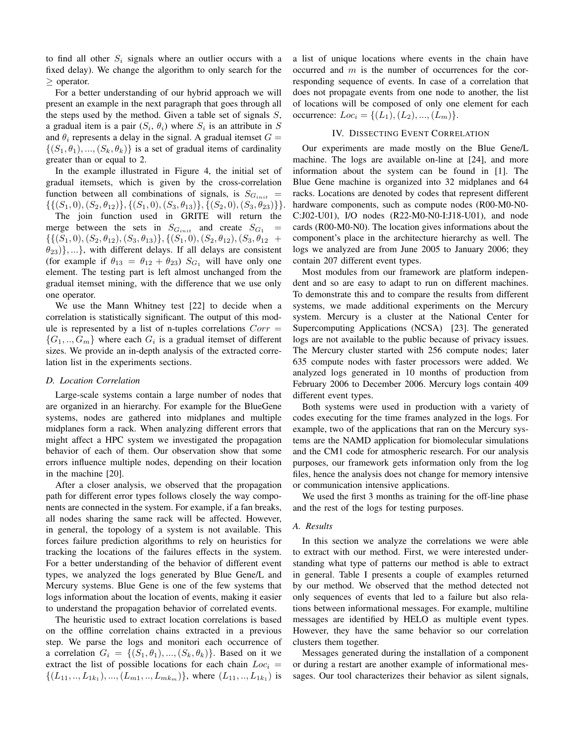to find all other  $S_i$  signals where an outlier occurs with a fixed delay). We change the algorithm to only search for the ≥ operator.

For a better understanding of our hybrid approach we will present an example in the next paragraph that goes through all the steps used by the method. Given a table set of signals  $S$ , a gradual item is a pair  $(S_i, \theta_i)$  where  $S_i$  is an attribute in S and  $\theta_i$  represents a delay in the signal. A gradual itemset  $G =$  $\{(S_1, \theta_1), ..., (S_k, \theta_k)\}\$ is a set of gradual items of cardinality greater than or equal to 2.

In the example illustrated in Figure 4, the initial set of gradual itemsets, which is given by the cross-correlation function between all combinations of signals, is  $S_{G_{init}} =$  $\{ \{ (S_1, 0), (S_2, \theta_{12}) \}, \{ (S_1, 0), (S_3, \theta_{13}) \}, \{ (S_2, 0), (S_3, \theta_{23}) \} \}$ The join function used in GRITE will return the merge between the sets in  $S_{G_{init}}$  and create  $S_{G_1}$  =  $\{\{(S_1, 0), (S_2, \theta_{12}), (S_3, \theta_{13})\}, \{(S_1, 0), (S_2, \theta_{12}), (S_3, \theta_{12})\}$  $\{\theta_{23}\}\}\,...\}$ , with different delays. If all delays are consistent (for example if  $\theta_{13} = \theta_{12} + \theta_{23}$ )  $S_{G_1}$  will have only one

element. The testing part is left almost unchanged from the gradual itemset mining, with the difference that we use only one operator.

We use the Mann Whitney test [22] to decide when a correlation is statistically significant. The output of this module is represented by a list of n-tuples correlations  $Corr =$  $\{G_1, ..., G_m\}$  where each  $G_i$  is a gradual itemset of different sizes. We provide an in-depth analysis of the extracted correlation list in the experiments sections.

#### *D. Location Correlation*

Large-scale systems contain a large number of nodes that are organized in an hierarchy. For example for the BlueGene systems, nodes are gathered into midplanes and multiple midplanes form a rack. When analyzing different errors that might affect a HPC system we investigated the propagation behavior of each of them. Our observation show that some errors influence multiple nodes, depending on their location in the machine [20].

After a closer analysis, we observed that the propagation path for different error types follows closely the way components are connected in the system. For example, if a fan breaks, all nodes sharing the same rack will be affected. However, in general, the topology of a system is not available. This forces failure prediction algorithms to rely on heuristics for tracking the locations of the failures effects in the system. For a better understanding of the behavior of different event types, we analyzed the logs generated by Blue Gene/L and Mercury systems. Blue Gene is one of the few systems that logs information about the location of events, making it easier to understand the propagation behavior of correlated events.

The heuristic used to extract location correlations is based on the offline correlation chains extracted in a previous step. We parse the logs and monitori each occurrence of a correlation  $G_i = \{(S_1, \theta_1), ..., (S_k, \theta_k)\}\)$ . Based on it we extract the list of possible locations for each chain  $Loc<sub>i</sub>$  =  $\{(L_{11},..., L_{1k_1}),...,(L_{m1},..., L_{mk_m})\}$ , where  $(L_{11},..., L_{1k_1})$  is a list of unique locations where events in the chain have occurred and  $m$  is the number of occurrences for the corresponding sequence of events. In case of a correlation that does not propagate events from one node to another, the list of locations will be composed of only one element for each occurrence:  $Loc_i = \{(L_1), (L_2), ..., (L_m)\}.$ 

### IV. DISSECTING EVENT CORRELATION

Our experiments are made mostly on the Blue Gene/L machine. The logs are available on-line at [24], and more information about the system can be found in [1]. The Blue Gene machine is organized into 32 midplanes and 64 racks. Locations are denoted by codes that represent different hardware components, such as compute nodes (R00-M0-N0- C:J02-U01), I/O nodes (R22-M0-N0-I:J18-U01), and node cards (R00-M0-N0). The location gives informations about the component's place in the architecture hierarchy as well. The logs we analyzed are from June 2005 to January 2006; they contain 207 different event types.

Most modules from our framework are platform independent and so are easy to adapt to run on different machines. To demonstrate this and to compare the results from different systems, we made additional experiments on the Mercury system. Mercury is a cluster at the National Center for Supercomputing Applications (NCSA) [23]. The generated logs are not available to the public because of privacy issues. The Mercury cluster started with 256 compute nodes; later 635 compute nodes with faster processors were added. We analyzed logs generated in 10 months of production from February 2006 to December 2006. Mercury logs contain 409 different event types.

Both systems were used in production with a variety of codes executing for the time frames analyzed in the logs. For example, two of the applications that ran on the Mercury systems are the NAMD application for biomolecular simulations and the CM1 code for atmospheric research. For our analysis purposes, our framework gets information only from the log files, hence the analysis does not change for memory intensive or communication intensive applications.

We used the first 3 months as training for the off-line phase and the rest of the logs for testing purposes.

## *A. Results*

In this section we analyze the correlations we were able to extract with our method. First, we were interested understanding what type of patterns our method is able to extract in general. Table I presents a couple of examples returned by our method. We observed that the method detected not only sequences of events that led to a failure but also relations between informational messages. For example, multiline messages are identified by HELO as multiple event types. However, they have the same behavior so our correlation clusters them together.

Messages generated during the installation of a component or during a restart are another example of informational messages. Our tool characterizes their behavior as silent signals,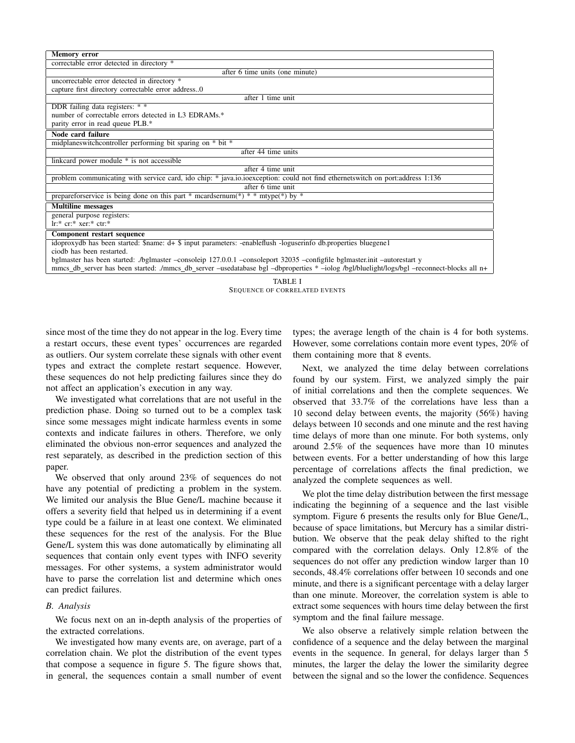| <b>Memory error</b>                                                                                                                       |  |  |  |  |  |
|-------------------------------------------------------------------------------------------------------------------------------------------|--|--|--|--|--|
| correctable error detected in directory *                                                                                                 |  |  |  |  |  |
| after 6 time units (one minute)                                                                                                           |  |  |  |  |  |
| uncorrectable error detected in directory *                                                                                               |  |  |  |  |  |
| capture first directory correctable error address0                                                                                        |  |  |  |  |  |
| after 1 time unit                                                                                                                         |  |  |  |  |  |
| DDR failing data registers: * *                                                                                                           |  |  |  |  |  |
| number of correctable errors detected in L3 EDRAMs.*                                                                                      |  |  |  |  |  |
| parity error in read queue PLB.*                                                                                                          |  |  |  |  |  |
| Node card failure                                                                                                                         |  |  |  |  |  |
| midplaneswitchcontroller performing bit sparing on * bit *                                                                                |  |  |  |  |  |
| after 44 time units                                                                                                                       |  |  |  |  |  |
| linkcard power module * is not accessible                                                                                                 |  |  |  |  |  |
| after 4 time unit                                                                                                                         |  |  |  |  |  |
| problem communicating with service card, ido chip: * java.io.ioexception: could not find ethernetswitch on port:address 1:136             |  |  |  |  |  |
| after 6 time unit                                                                                                                         |  |  |  |  |  |
| prepareform evidence is being done on this part * meardsernum(*) * * mtype(*) by *                                                        |  |  |  |  |  |
| Multiline messages                                                                                                                        |  |  |  |  |  |
| general purpose registers:                                                                                                                |  |  |  |  |  |
| $\text{lr}:$ * cr:* xer:* ctr:*                                                                                                           |  |  |  |  |  |
| Component restart sequence                                                                                                                |  |  |  |  |  |
| idoproxydb has been started: \$name: d+ \$ input parameters: -enableflush -loguserinfo db.properties bluegene1                            |  |  |  |  |  |
| ciodb has been restarted.                                                                                                                 |  |  |  |  |  |
| bglmaster has been started: ./bglmaster --consoleip 127.0.0.1 --consoleport 32035 --configfile bglmaster.init --autorestart y             |  |  |  |  |  |
| mmcs db server has been started: /mmcs db server -usedatabase bgl -dbproperties * -iolog /bgl/bluelight/logs/bgl -reconnect-blocks all n+ |  |  |  |  |  |



since most of the time they do not appear in the log. Every time a restart occurs, these event types' occurrences are regarded as outliers. Our system correlate these signals with other event types and extract the complete restart sequence. However, these sequences do not help predicting failures since they do not affect an application's execution in any way.

We investigated what correlations that are not useful in the prediction phase. Doing so turned out to be a complex task since some messages might indicate harmless events in some contexts and indicate failures in others. Therefore, we only eliminated the obvious non-error sequences and analyzed the rest separately, as described in the prediction section of this paper.

We observed that only around 23% of sequences do not have any potential of predicting a problem in the system. We limited our analysis the Blue Gene/L machine because it offers a severity field that helped us in determining if a event type could be a failure in at least one context. We eliminated these sequences for the rest of the analysis. For the Blue Gene/L system this was done automatically by eliminating all sequences that contain only event types with INFO severity messages. For other systems, a system administrator would have to parse the correlation list and determine which ones can predict failures.

## *B. Analysis*

We focus next on an in-depth analysis of the properties of the extracted correlations.

We investigated how many events are, on average, part of a correlation chain. We plot the distribution of the event types that compose a sequence in figure 5. The figure shows that, in general, the sequences contain a small number of event

types; the average length of the chain is 4 for both systems. However, some correlations contain more event types, 20% of them containing more that 8 events.

Next, we analyzed the time delay between correlations found by our system. First, we analyzed simply the pair of initial correlations and then the complete sequences. We observed that 33.7% of the correlations have less than a 10 second delay between events, the majority (56%) having delays between 10 seconds and one minute and the rest having time delays of more than one minute. For both systems, only around 2.5% of the sequences have more than 10 minutes between events. For a better understanding of how this large percentage of correlations affects the final prediction, we analyzed the complete sequences as well.

We plot the time delay distribution between the first message indicating the beginning of a sequence and the last visible symptom. Figure 6 presents the results only for Blue Gene/L, because of space limitations, but Mercury has a similar distribution. We observe that the peak delay shifted to the right compared with the correlation delays. Only 12.8% of the sequences do not offer any prediction window larger than 10 seconds, 48.4% correlations offer between 10 seconds and one minute, and there is a significant percentage with a delay larger than one minute. Moreover, the correlation system is able to extract some sequences with hours time delay between the first symptom and the final failure message.

We also observe a relatively simple relation between the confidence of a sequence and the delay between the marginal events in the sequence. In general, for delays larger than 5 minutes, the larger the delay the lower the similarity degree between the signal and so the lower the confidence. Sequences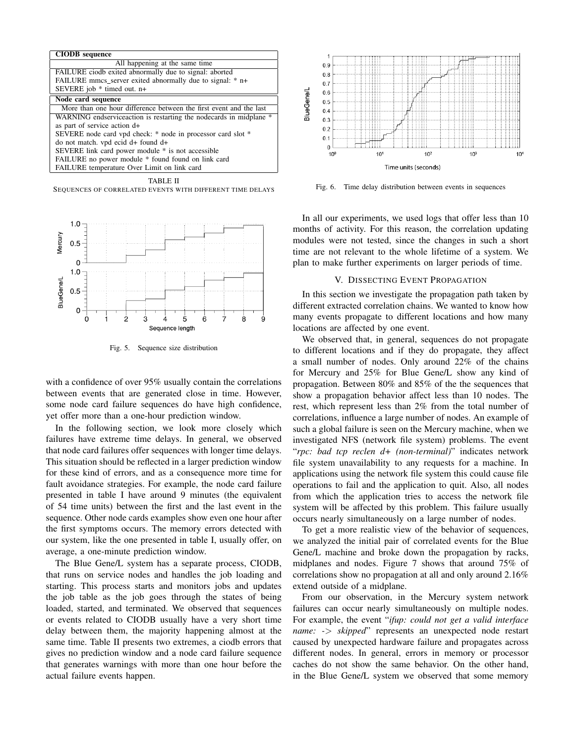| <b>CIODB</b> sequence                                               |  |  |  |  |  |
|---------------------------------------------------------------------|--|--|--|--|--|
| All happening at the same time                                      |  |  |  |  |  |
| FAILURE ciodb exited abnormally due to signal: aborted              |  |  |  |  |  |
| FAILURE mmcs server exited abnormally due to signal: * n+           |  |  |  |  |  |
| SEVERE job * timed out. n+                                          |  |  |  |  |  |
| Node card sequence                                                  |  |  |  |  |  |
| More than one hour difference between the first event and the last  |  |  |  |  |  |
| WARNING endservice action is restarting the nodecards in midplane * |  |  |  |  |  |
| as part of service action d+                                        |  |  |  |  |  |
| SEVERE node card vpd check: * node in processor card slot *         |  |  |  |  |  |
| do not match, vpd ecid d+ found d+                                  |  |  |  |  |  |
| SEVERE link card power module * is not accessible                   |  |  |  |  |  |
| FAILURE no power module * found found on link card                  |  |  |  |  |  |
| FAILURE temperature Over Limit on link card                         |  |  |  |  |  |
| TABLE II                                                            |  |  |  |  |  |

SEQUENCES OF CORRELATED EVENTS WITH DIFFERENT TIME DELAYS



Fig. 5. Sequence size distribution

with a confidence of over 95% usually contain the correlations between events that are generated close in time. However, some node card failure sequences do have high confidence, yet offer more than a one-hour prediction window.

In the following section, we look more closely which failures have extreme time delays. In general, we observed that node card failures offer sequences with longer time delays. This situation should be reflected in a larger prediction window for these kind of errors, and as a consequence more time for fault avoidance strategies. For example, the node card failure presented in table I have around 9 minutes (the equivalent of 54 time units) between the first and the last event in the sequence. Other node cards examples show even one hour after the first symptoms occurs. The memory errors detected with our system, like the one presented in table I, usually offer, on average, a one-minute prediction window.

The Blue Gene/L system has a separate process, CIODB, that runs on service nodes and handles the job loading and starting. This process starts and monitors jobs and updates the job table as the job goes through the states of being loaded, started, and terminated. We observed that sequences or events related to CIODB usually have a very short time delay between them, the majority happening almost at the same time. Table II presents two extremes, a ciodb errors that gives no prediction window and a node card failure sequence that generates warnings with more than one hour before the actual failure events happen.



Fig. 6. Time delay distribution between events in sequences

In all our experiments, we used logs that offer less than 10 months of activity. For this reason, the correlation updating modules were not tested, since the changes in such a short time are not relevant to the whole lifetime of a system. We plan to make further experiments on larger periods of time.

#### V. DISSECTING EVENT PROPAGATION

In this section we investigate the propagation path taken by different extracted correlation chains. We wanted to know how many events propagate to different locations and how many locations are affected by one event.

We observed that, in general, sequences do not propagate to different locations and if they do propagate, they affect a small number of nodes. Only around 22% of the chains for Mercury and 25% for Blue Gene/L show any kind of propagation. Between 80% and 85% of the the sequences that show a propagation behavior affect less than 10 nodes. The rest, which represent less than 2% from the total number of correlations, influence a large number of nodes. An example of such a global failure is seen on the Mercury machine, when we investigated NFS (network file system) problems. The event "*rpc: bad tcp reclen d+ (non-terminal)*" indicates network file system unavailability to any requests for a machine. In applications using the network file system this could cause file operations to fail and the application to quit. Also, all nodes from which the application tries to access the network file system will be affected by this problem. This failure usually occurs nearly simultaneously on a large number of nodes.

To get a more realistic view of the behavior of sequences, we analyzed the initial pair of correlated events for the Blue Gene/L machine and broke down the propagation by racks, midplanes and nodes. Figure 7 shows that around 75% of correlations show no propagation at all and only around 2.16% extend outside of a midplane.

From our observation, in the Mercury system network failures can occur nearly simultaneously on multiple nodes. For example, the event "*ifup: could not get a valid interface name: -*> *skipped*" represents an unexpected node restart caused by unexpected hardware failure and propagates across different nodes. In general, errors in memory or processor caches do not show the same behavior. On the other hand, in the Blue Gene/L system we observed that some memory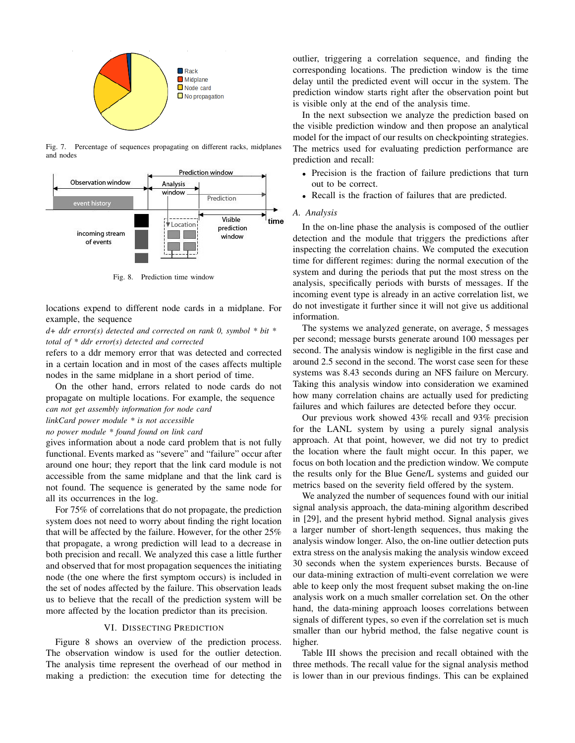

Fig. 7. Percentage of sequences propagating on different racks, midplanes and nodes



Fig. 8. Prediction time window

locations expend to different node cards in a midplane. For example, the sequence

*d+ ddr errors(s) detected and corrected on rank 0, symbol \* bit \* total of \* ddr error(s) detected and corrected*

refers to a ddr memory error that was detected and corrected in a certain location and in most of the cases affects multiple nodes in the same midplane in a short period of time.

On the other hand, errors related to node cards do not propagate on multiple locations. For example, the sequence *can not get assembly information for node card*

*linkCard power module \* is not accessible*

*no power module \* found found on link card*

gives information about a node card problem that is not fully functional. Events marked as "severe" and "failure" occur after around one hour; they report that the link card module is not accessible from the same midplane and that the link card is not found. The sequence is generated by the same node for all its occurrences in the log.

For 75% of correlations that do not propagate, the prediction system does not need to worry about finding the right location that will be affected by the failure. However, for the other 25% that propagate, a wrong prediction will lead to a decrease in both precision and recall. We analyzed this case a little further and observed that for most propagation sequences the initiating node (the one where the first symptom occurs) is included in the set of nodes affected by the failure. This observation leads us to believe that the recall of the prediction system will be more affected by the location predictor than its precision.

## VI. DISSECTING PREDICTION

Figure 8 shows an overview of the prediction process. The observation window is used for the outlier detection. The analysis time represent the overhead of our method in making a prediction: the execution time for detecting the outlier, triggering a correlation sequence, and finding the corresponding locations. The prediction window is the time delay until the predicted event will occur in the system. The prediction window starts right after the observation point but is visible only at the end of the analysis time.

In the next subsection we analyze the prediction based on the visible prediction window and then propose an analytical model for the impact of our results on checkpointing strategies. The metrics used for evaluating prediction performance are prediction and recall:

- Precision is the fraction of failure predictions that turn out to be correct.
- Recall is the fraction of failures that are predicted.

#### *A. Analysis*

In the on-line phase the analysis is composed of the outlier detection and the module that triggers the predictions after inspecting the correlation chains. We computed the execution time for different regimes: during the normal execution of the system and during the periods that put the most stress on the analysis, specifically periods with bursts of messages. If the incoming event type is already in an active correlation list, we do not investigate it further since it will not give us additional information.

The systems we analyzed generate, on average, 5 messages per second; message bursts generate around 100 messages per second. The analysis window is negligible in the first case and around 2.5 second in the second. The worst case seen for these systems was 8.43 seconds during an NFS failure on Mercury. Taking this analysis window into consideration we examined how many correlation chains are actually used for predicting failures and which failures are detected before they occur.

Our previous work showed 43% recall and 93% precision for the LANL system by using a purely signal analysis approach. At that point, however, we did not try to predict the location where the fault might occur. In this paper, we focus on both location and the prediction window. We compute the results only for the Blue Gene/L systems and guided our metrics based on the severity field offered by the system.

We analyzed the number of sequences found with our initial signal analysis approach, the data-mining algorithm described in [29], and the present hybrid method. Signal analysis gives a larger number of short-length sequences, thus making the analysis window longer. Also, the on-line outlier detection puts extra stress on the analysis making the analysis window exceed 30 seconds when the system experiences bursts. Because of our data-mining extraction of multi-event correlation we were able to keep only the most frequent subset making the on-line analysis work on a much smaller correlation set. On the other hand, the data-mining approach looses correlations between signals of different types, so even if the correlation set is much smaller than our hybrid method, the false negative count is higher.

Table III shows the precision and recall obtained with the three methods. The recall value for the signal analysis method is lower than in our previous findings. This can be explained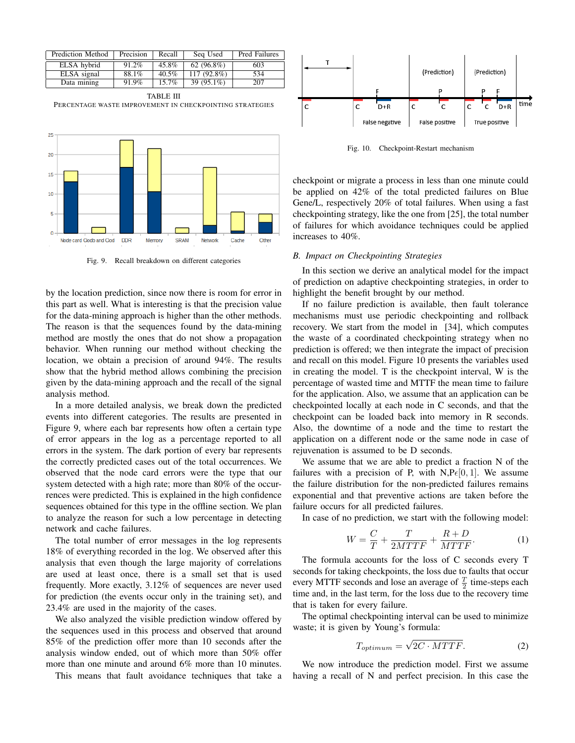| Prediction Method | Precision | Recall   | Seq Used      | Pred Failures |
|-------------------|-----------|----------|---------------|---------------|
| ELSA hybrid       | 91.2%     | 45.8%    | 62 $(96.8\%)$ | 603           |
| ELSA signal       | 88.1%     | 40.5%    | $117(92.8\%)$ | 534           |
| Data mining       | 91.9%     | $15.7\%$ | 39 (95.1%)    | 207           |

TABLE III PERCENTAGE WASTE IMPROVEMENT IN CHECKPOINTING STRATEGIES



Fig. 9. Recall breakdown on different categories

by the location prediction, since now there is room for error in this part as well. What is interesting is that the precision value for the data-mining approach is higher than the other methods. The reason is that the sequences found by the data-mining method are mostly the ones that do not show a propagation behavior. When running our method without checking the location, we obtain a precision of around 94%. The results show that the hybrid method allows combining the precision given by the data-mining approach and the recall of the signal analysis method.

In a more detailed analysis, we break down the predicted events into different categories. The results are presented in Figure 9, where each bar represents how often a certain type of error appears in the log as a percentage reported to all errors in the system. The dark portion of every bar represents the correctly predicted cases out of the total occurrences. We observed that the node card errors were the type that our system detected with a high rate; more than 80% of the occurrences were predicted. This is explained in the high confidence sequences obtained for this type in the offline section. We plan to analyze the reason for such a low percentage in detecting network and cache failures.

The total number of error messages in the log represents 18% of everything recorded in the log. We observed after this analysis that even though the large majority of correlations are used at least once, there is a small set that is used frequently. More exactly, 3.12% of sequences are never used for prediction (the events occur only in the training set), and 23.4% are used in the majority of the cases.

We also analyzed the visible prediction window offered by the sequences used in this process and observed that around 85% of the prediction offer more than 10 seconds after the analysis window ended, out of which more than 50% offer more than one minute and around 6% more than 10 minutes.

This means that fault avoidance techniques that take a



Fig. 10. Checkpoint-Restart mechanism

checkpoint or migrate a process in less than one minute could be applied on 42% of the total predicted failures on Blue Gene/L, respectively 20% of total failures. When using a fast checkpointing strategy, like the one from [25], the total number of failures for which avoidance techniques could be applied increases to 40%.

#### *B. Impact on Checkpointing Strategies*

In this section we derive an analytical model for the impact of prediction on adaptive checkpointing strategies, in order to highlight the benefit brought by our method.

If no failure prediction is available, then fault tolerance mechanisms must use periodic checkpointing and rollback recovery. We start from the model in [34], which computes the waste of a coordinated checkpointing strategy when no prediction is offered; we then integrate the impact of precision and recall on this model. Figure 10 presents the variables used in creating the model. T is the checkpoint interval, W is the percentage of wasted time and MTTF the mean time to failure for the application. Also, we assume that an application can be checkpointed locally at each node in C seconds, and that the checkpoint can be loaded back into memory in R seconds. Also, the downtime of a node and the time to restart the application on a different node or the same node in case of rejuvenation is assumed to be D seconds.

We assume that we are able to predict a fraction N of the failures with a precision of P, with N,  $Pe[0, 1]$ . We assume the failure distribution for the non-predicted failures remains exponential and that preventive actions are taken before the failure occurs for all predicted failures.

In case of no prediction, we start with the following model:

$$
W = \frac{C}{T} + \frac{T}{2MTTF} + \frac{R+D}{MTTF}.
$$
 (1)

The formula accounts for the loss of C seconds every T seconds for taking checkpoints, the loss due to faults that occur every MTTF seconds and lose an average of  $\frac{T}{2}$  time-steps each time and, in the last term, for the loss due to the recovery time that is taken for every failure.

The optimal checkpointing interval can be used to minimize waste; it is given by Young's formula:

$$
T_{optimum} = \sqrt{2C \cdot M T T F}.
$$
 (2)

We now introduce the prediction model. First we assume having a recall of N and perfect precision. In this case the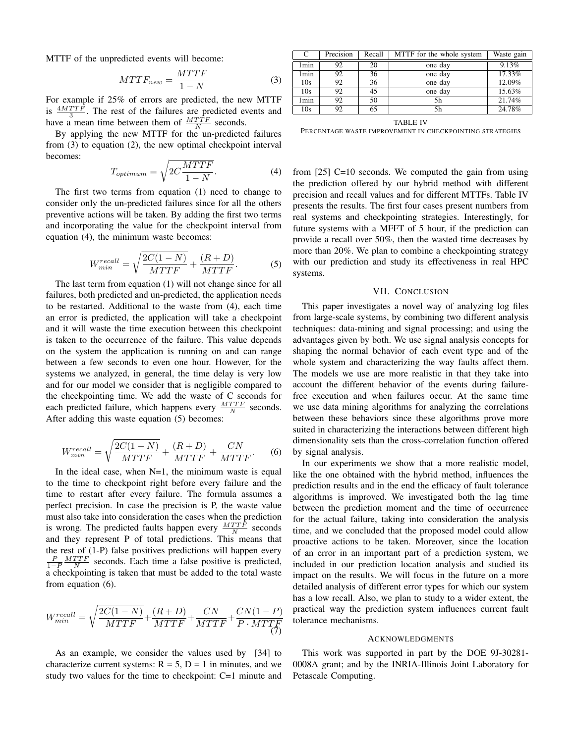MTTF of the unpredicted events will become:

$$
MTTF_{new} = \frac{MTTF}{1 - N}
$$
 (3)

For example if 25% of errors are predicted, the new MTTF is  $\frac{4MTTF}{3}$ . The rest of the failures are predicted events and  $\frac{3}{3}$  : The rest of the families are predicted by<br>have a mean time between them of  $\frac{MTTF}{N}$  seconds.

By applying the new MTTF for the un-predicted failures from (3) to equation (2), the new optimal checkpoint interval becomes:

$$
T_{optimum} = \sqrt{2C \frac{MTTF}{1 - N}}.
$$
\n(4)

The first two terms from equation (1) need to change to consider only the un-predicted failures since for all the others preventive actions will be taken. By adding the first two terms and incorporating the value for the checkpoint interval from equation (4), the minimum waste becomes:

$$
W_{min}^{recall} = \sqrt{\frac{2C(1-N)}{MTTF}} + \frac{(R+D)}{MTTF}.
$$
 (5)

The last term from equation (1) will not change since for all failures, both predicted and un-predicted, the application needs to be restarted. Additional to the waste from (4), each time an error is predicted, the application will take a checkpoint and it will waste the time execution between this checkpoint is taken to the occurrence of the failure. This value depends on the system the application is running on and can range between a few seconds to even one hour. However, for the systems we analyzed, in general, the time delay is very low and for our model we consider that is negligible compared to the checkpointing time. We add the waste of C seconds for each predicted failure, which happens every  $\frac{MTTF}{N}$  seconds. After adding this waste equation (5) becomes:

$$
W_{min}^{recall} = \sqrt{\frac{2C(1-N)}{MTTF}} + \frac{(R+D)}{MTTF} + \frac{CN}{MTTF}.
$$
 (6)

In the ideal case, when  $N=1$ , the minimum waste is equal to the time to checkpoint right before every failure and the time to restart after every failure. The formula assumes a perfect precision. In case the precision is P, the waste value must also take into consideration the cases when the prediction is wrong. The predicted faults happen every  $\frac{MTTF}{N}$  seconds and they represent P of total predictions. This means that the rest of (1-P) false positives predictions will happen every  $\frac{P}{1-P} \frac{MTTF}{N}$  seconds. Each time a false positive is predicted, a checkpointing is taken that must be added to the total waste from equation (6).

$$
W_{min}^{recall} = \sqrt{\frac{2C(1-N)}{MTTF}} + \frac{(R+D)}{MTTF} + \frac{CN}{MTTF} + \frac{CN(1-P)}{P \cdot MTTF}
$$
(7)

As an example, we consider the values used by [34] to characterize current systems:  $R = 5$ ,  $D = 1$  in minutes, and we study two values for the time to checkpoint: C=1 minute and

| C                | Precision | Recall | MTTF for the whole system | Waste gain |
|------------------|-----------|--------|---------------------------|------------|
| 1 <sub>min</sub> | 92        | 20     | one day                   | 9.13%      |
| 1 <sub>min</sub> | 92        | 36     | one day                   | 17.33%     |
| 10s              | 92        | 36     | one day                   | 12.09%     |
| 10s              | 92        | 45     | one day                   | 15.63%     |
| 1min             | 92        | 50     | 5h                        | 21.74%     |
| 10s              | 92        | 65     | 5h                        | 24.78%     |

TABLE IV

PERCENTAGE WASTE IMPROVEMENT IN CHECKPOINTING STRATEGIES

from [25] C=10 seconds. We computed the gain from using the prediction offered by our hybrid method with different precision and recall values and for different MTTFs. Table IV presents the results. The first four cases present numbers from real systems and checkpointing strategies. Interestingly, for future systems with a MFFT of 5 hour, if the prediction can provide a recall over 50%, then the wasted time decreases by more than 20%. We plan to combine a checkpointing strategy with our prediction and study its effectiveness in real HPC systems.

#### VII. CONCLUSION

This paper investigates a novel way of analyzing log files from large-scale systems, by combining two different analysis techniques: data-mining and signal processing; and using the advantages given by both. We use signal analysis concepts for shaping the normal behavior of each event type and of the whole system and characterizing the way faults affect them. The models we use are more realistic in that they take into account the different behavior of the events during failurefree execution and when failures occur. At the same time we use data mining algorithms for analyzing the correlations between these behaviors since these algorithms prove more suited in characterizing the interactions between different high dimensionality sets than the cross-correlation function offered by signal analysis.

In our experiments we show that a more realistic model, like the one obtained with the hybrid method, influences the prediction results and in the end the efficacy of fault tolerance algorithms is improved. We investigated both the lag time between the prediction moment and the time of occurrence for the actual failure, taking into consideration the analysis time, and we concluded that the proposed model could allow proactive actions to be taken. Moreover, since the location of an error in an important part of a prediction system, we included in our prediction location analysis and studied its impact on the results. We will focus in the future on a more detailed analysis of different error types for which our system has a low recall. Also, we plan to study to a wider extent, the practical way the prediction system influences current fault tolerance mechanisms.

### ACKNOWLEDGMENTS

This work was supported in part by the DOE 9J-30281- 0008A grant; and by the INRIA-Illinois Joint Laboratory for Petascale Computing.